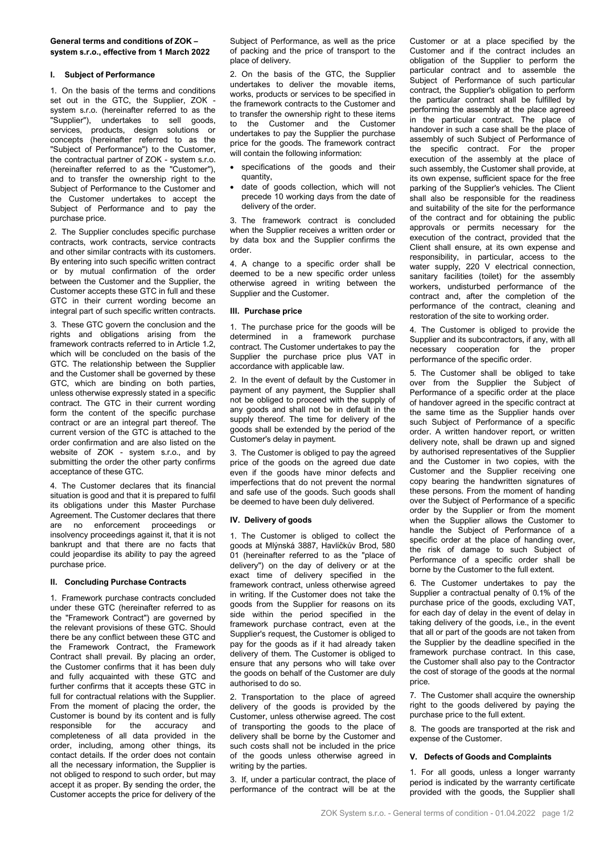# **General terms and conditions of ZOK – system s.r.o., effective from 1 March 2022**

# **I. Subject of Performance**

1. On the basis of the terms and conditions set out in the GTC, the Supplier, ZOK system s.r.o. (hereinafter referred to as the "Supplier"), undertakes to sell goods, services, products, design solutions or concepts (hereinafter referred to as the "Subject of Performance") to the Customer, the contractual partner of ZOK - system s.r.o. (hereinafter referred to as the "Customer"), and to transfer the ownership right to the Subject of Performance to the Customer and the Customer undertakes to accept the Subject of Performance and to pay the purchase price.

2. The Supplier concludes specific purchase contracts, work contracts, service contracts and other similar contracts with its customers. By entering into such specific written contract or by mutual confirmation of the order between the Customer and the Supplier, the Customer accepts these GTC in full and these GTC in their current wording become an integral part of such specific written contracts.

3. These GTC govern the conclusion and the rights and obligations arising from the framework contracts referred to in Article 1.2, which will be concluded on the basis of the GTC. The relationship between the Supplier and the Customer shall be governed by these GTC, which are binding on both parties, unless otherwise expressly stated in a specific contract. The GTC in their current wording form the content of the specific purchase contract or are an integral part thereof. The current version of the GTC is attached to the order confirmation and are also listed on the website of ZOK - system s.r.o., and by submitting the order the other party confirms acceptance of these GTC.

4. The Customer declares that its financial situation is good and that it is prepared to fulfil its obligations under this Master Purchase Agreement. The Customer declares that there are no enforcement proceedings or insolvency proceedings against it, that it is not bankrupt and that there are no facts that could jeopardise its ability to pay the agreed purchase price.

# **II. Concluding Purchase Contracts**

1. Framework purchase contracts concluded under these GTC (hereinafter referred to as the "Framework Contract") are governed by the relevant provisions of these GTC. Should there be any conflict between these GTC and the Framework Contract, the Framework Contract shall prevail. By placing an order, the Customer confirms that it has been duly and fully acquainted with these GTC and further confirms that it accepts these GTC in full for contractual relations with the Supplier. From the moment of placing the order, the Customer is bound by its content and is fully responsible for the accuracy and completeness of all data provided in the order, including, among other things, its contact details. If the order does not contain all the necessary information, the Supplier is not obliged to respond to such order, but may accept it as proper. By sending the order, the Customer accepts the price for delivery of the

Subject of Performance, as well as the price of packing and the price of transport to the place of delivery.

2. On the basis of the GTC, the Supplier undertakes to deliver the movable items, works, products or services to be specified in the framework contracts to the Customer and to transfer the ownership right to these items to the Customer and the Customer undertakes to pay the Supplier the purchase price for the goods. The framework contract will contain the following information:

- specifications of the goods and their quantity,
- date of goods collection, which will not precede 10 working days from the date of delivery of the order.

3. The framework contract is concluded when the Supplier receives a written order or by data box and the Supplier confirms the order.

4. A change to a specific order shall be deemed to be a new specific order unless otherwise agreed in writing between the Supplier and the Customer.

#### **III. Purchase price**

1. The purchase price for the goods will be determined in a framework purchase contract. The Customer undertakes to pay the Supplier the purchase price plus VAT in accordance with applicable law.

2. In the event of default by the Customer in payment of any payment, the Supplier shall not be obliged to proceed with the supply of any goods and shall not be in default in the supply thereof. The time for delivery of the goods shall be extended by the period of the Customer's delay in payment.

3. The Customer is obliged to pay the agreed price of the goods on the agreed due date even if the goods have minor defects and imperfections that do not prevent the normal and safe use of the goods. Such goods shall be deemed to have been duly delivered.

### **IV. Delivery of goods**

1. The Customer is obliged to collect the goods at Mlýnská 3887, Havlíčkův Brod, 580 01 (hereinafter referred to as the "place of delivery") on the day of delivery or at the exact time of delivery specified in the framework contract, unless otherwise agreed in writing. If the Customer does not take the goods from the Supplier for reasons on its side within the period specified in the framework purchase contract, even at the Supplier's request, the Customer is obliged to pay for the goods as if it had already taken delivery of them. The Customer is obliged to ensure that any persons who will take over the goods on behalf of the Customer are duly authorised to do so.

2. Transportation to the place of agreed delivery of the goods is provided by the Customer, unless otherwise agreed. The cost of transporting the goods to the place of delivery shall be borne by the Customer and such costs shall not be included in the price of the goods unless otherwise agreed in writing by the parties.

3. If, under a particular contract, the place of performance of the contract will be at the Customer or at a place specified by the Customer and if the contract includes an obligation of the Supplier to perform the particular contract and to assemble the Subject of Performance of such particular contract, the Supplier's obligation to perform the particular contract shall be fulfilled by performing the assembly at the place agreed in the particular contract. The place of handover in such a case shall be the place of assembly of such Subject of Performance of the specific contract. For the proper execution of the assembly at the place of such assembly, the Customer shall provide, at its own expense, sufficient space for the free parking of the Supplier's vehicles. The Client shall also be responsible for the readiness and suitability of the site for the performance of the contract and for obtaining the public approvals or permits necessary for the execution of the contract, provided that the Client shall ensure, at its own expense and responsibility, in particular, access to the water supply, 220 V electrical connection, sanitary facilities (toilet) for the assembly workers, undisturbed performance of the contract and, after the completion of the performance of the contract, cleaning and restoration of the site to working order.

4. The Customer is obliged to provide the Supplier and its subcontractors, if any, with all necessary cooperation for the proper performance of the specific order.

5. The Customer shall be obliged to take over from the Supplier the Subject of Performance of a specific order at the place of handover agreed in the specific contract at the same time as the Supplier hands over such Subject of Performance of a specific order. A written handover report, or written delivery note, shall be drawn up and signed by authorised representatives of the Supplier and the Customer in two copies, with the Customer and the Supplier receiving one copy bearing the handwritten signatures of these persons. From the moment of handing over the Subject of Performance of a specific order by the Supplier or from the moment when the Supplier allows the Customer to handle the Subject of Performance of a specific order at the place of handing over, the risk of damage to such Subject of Performance of a specific order shall be borne by the Customer to the full extent.

6. The Customer undertakes to pay the Supplier a contractual penalty of 0.1% of the purchase price of the goods, excluding VAT, for each day of delay in the event of delay in taking delivery of the goods, i.e., in the event that all or part of the goods are not taken from the Supplier by the deadline specified in the framework purchase contract. In this case, the Customer shall also pay to the Contractor the cost of storage of the goods at the normal price.

7. The Customer shall acquire the ownership right to the goods delivered by paying the purchase price to the full extent.

8. The goods are transported at the risk and expense of the Customer.

#### **V. Defects of Goods and Complaints**

1. For all goods, unless a longer warranty period is indicated by the warranty certificate provided with the goods, the Supplier shall